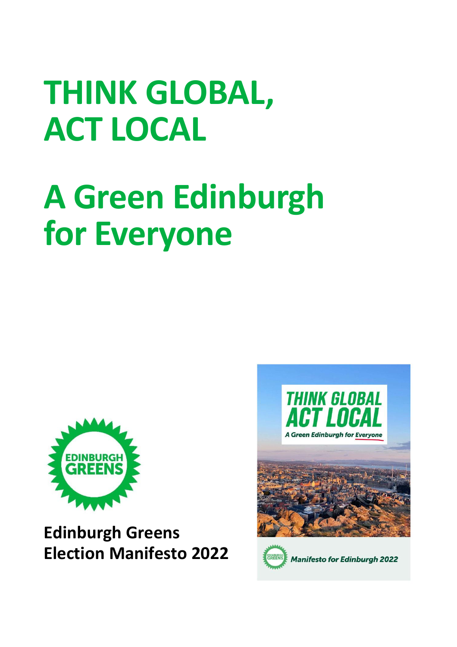## **THINK GLOBAL, ACT LOCAL**

## **A Green Edinburgh for Everyone**



**Edinburgh Greens Election Manifesto 2022**



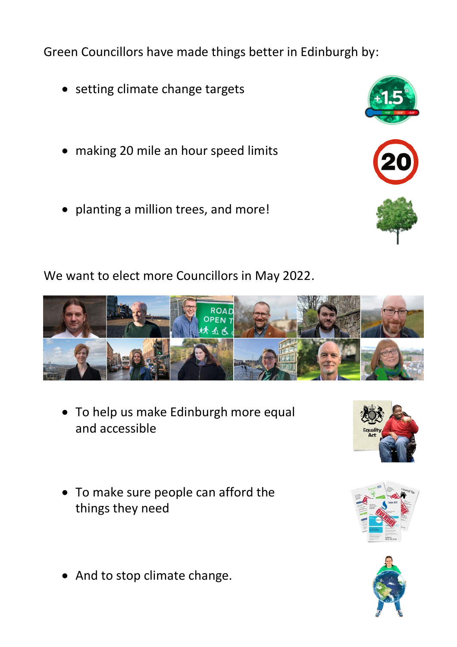Green Councillors have made things better in Edinburgh by:

- setting climate change targets
- making 20 mile an hour speed limits
- planting a million trees, and more!

We want to elect more Councillors in May 2022.

• To help us make Edinburgh more equal and accessible

- To make sure people can afford the things they need
- And to stop climate change.







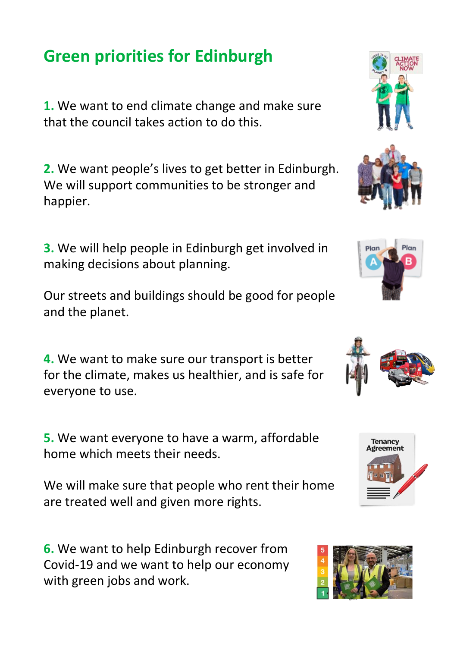## **Green priorities for Edinburgh**

**1.** We want to end climate change and make sure that the council takes action to do this.

**2.** We want people's lives to get better in Edinburgh. We will support communities to be stronger and happier.

**3.** We will help people in Edinburgh get involved in making decisions about planning.

Our streets and buildings should be good for people and the planet.

**4.** We want to make sure our transport is better for the climate, makes us healthier, and is safe for everyone to use.

**5.** We want everyone to have a warm, affordable home which meets their needs.

We will make sure that people who rent their home are treated well and given more rights.

**6.** We want to help Edinburgh recover from Covid-19 and we want to help our economy with green jobs and work.